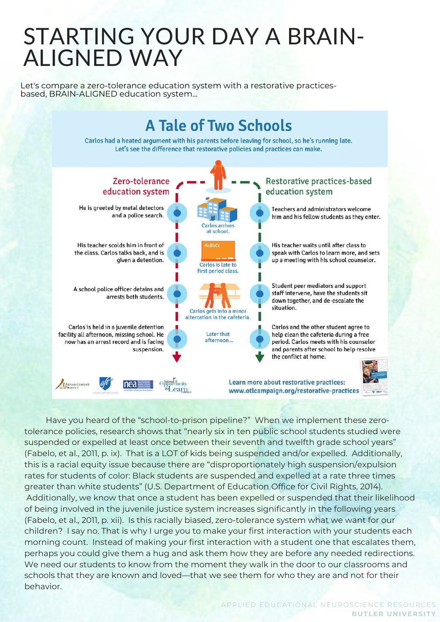Let's compare a zero-tolerance education system with a restorative practicesbased, BRAIN-ALIGNED education system...



Have you heard of the "school-to-prison pipeline?" When we implement these zerotolerance policies, research shows that "nearly six in ten public school students studied were suspended or expelled at least once between their seventh and twelfth grade school years" (Fabelo, et al., 2011, p. ix). That is a LOT of kids being suspended and/or expelled. Additionally, this is a racial equity issue because there are "disproportionately high suspension/expulsion rates for students of color: Black students are suspended and expelled at a rate three times greater than white students" (U.S. Department of Education Office for Civil Rights, 2014). Additionally, we know that once a student has been expelled or suspended that their likelihood of being involved in the juvenile justice system increases significantly in the following years (Fabelo, et al., 2011, p. xii). Is this racially biased, zero-tolerance system what we want for our children? I say no. That is why I urge you to make your first interaction with your students each morning count. Instead of making your first interaction with a student one that escalates them, perhaps you could give them a hug and ask them how they are before any needed redirections. We need our students to know from the moment they walk in the door to our classrooms and schools that they are known and loved—that we see them for who they are and not for their behavior.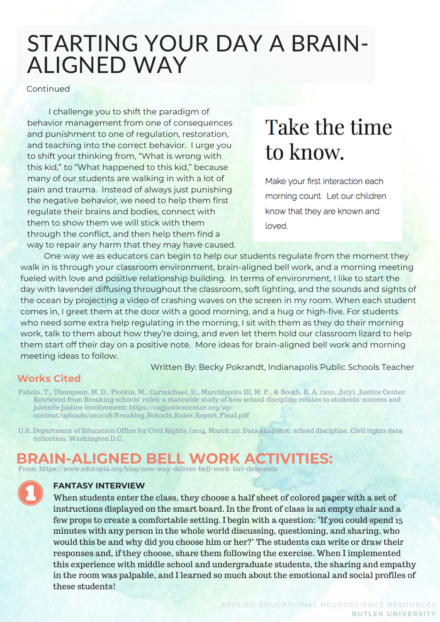Continued

I challenge you to shift the paradigm of behavior management from one of consequences and punishment to one of regulation, restoration, and teaching into the correct behavior. I urge you to shift your thinking from, "What is wrong with this kid," to "What happened to this kid," because many of our students are walking in with a lot of pain and trauma. Instead of always just punishing the negative behavior, we need to help them first regulate their brains and bodies, connect with them to show them we will stick with them through the conflict, and then help them find a way to repair any harm that they may have caused.

# Take the time to know.

Make your first interaction each morning count. Let our children know that they are known and loved.

One way we as educators can begin to help our students regulate from the moment they walk in is through your classroom environment, brain-aligned bell work, and a morning meeting fueled with love and positive relationship building. In terms of environment, I like to start the day with lavender diffusing throughout the classroom, soft lighting, and the sounds and sights of the ocean by projecting a video of crashing waves on the screen in my room. When each student comes in, I greet them at the door with a good morning, and a hug or high-five. For students who need some extra help regulating in the morning, I sit with them as they do their morning work, talk to them about how they're doing, and even let them hold our classroom lizard to help them start off their day on a positive note. More ideas for brain-aligned bell work and morning meeting ideas to follow.

Written By: Becky Pokrandt, Indianapolis Public Schools Teacher

#### **Works Cited**

Fabelo, T., Thompson, M. D., Plotkin, M., Carmichael, D., Marchbanks III, M. P., & Booth, E. A. (2011, July). Justice Center. Retrieved from Breaking schools' rules: a statewide study of how school discipline relates to students' success and juvenile justice involvement: https://csgjusticecenter.org/wpcontent/uploads/2012/08/Breaking\_Schools\_Rules\_Report\_Final.pdf

U.S. Department of Education Office for Civil Rights. (2014, March 21). Data snapshot: school discipline. Civil rights data collection. Washington D.C.

### **BRAIN-ALIGNED BELL WORK ACTIVITIES:**

From: https://www.edutopia.org/blog/new-way-deliver-bell-work-lori-desautels



#### **FANTASY INTERVIEW**

When students enter the class, they choose a half sheet of colored paper with a set of instructions displayed on the smart board. In the front of class is an empty chair and a few props to create a comfortable setting. I begin with a question: "If you could spend 15 minutes with any person in the whole world discussing, questioning, and sharing, who would this be and why did you choose him or her?" The students can write or draw their responses and, if they choose, share them following the exercise. When I implemented this experience with middle school and undergraduate students, the sharing and empathy in the room was palpable, and I learned so much about the emotional and social profiles of these students!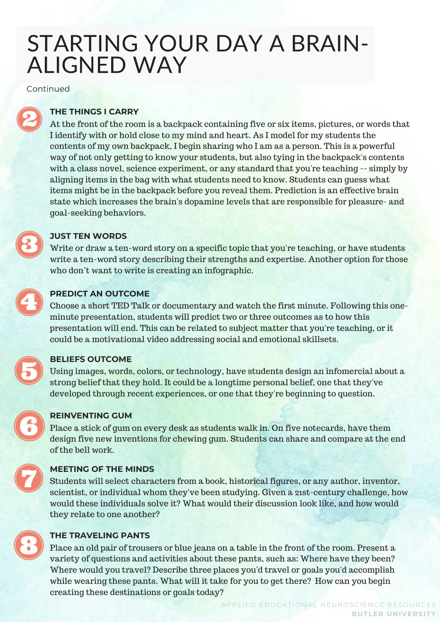Continued



#### **THE THINGS I CARRY**

At the front of the room is a backpack containing five or six items, pictures, or words that I identify with or hold close to my mind and heart. As I model for my students the contents of my own backpack, I begin sharing who I am as a person. This is a powerful way of not only getting to know your students, but also tying in the backpack's contents with a class novel, science experiment, or any standard that you're teaching -- simply by aligning items in the bag with what students need to know. Students can guess what items might be in the backpack before you reveal them. Prediction is an effective brain state which increases the brain's dopamine levels that are responsible for pleasure- and goal-seeking behaviors.

#### **JUST TEN WORDS**

Write or draw a ten-word story on a specific topic that you're teaching, or have students write a ten-word story describing their strengths and expertise. Another option for those who don't want to write is creating an infographic.



#### **PREDICT AN OUTCOME**

Choose a short TED Talk or documentary and watch the first minute. Following this oneminute presentation, students will predict two or three outcomes as to how this presentation will end. This can be related to subject matter that you're teaching, or it could be a motivational video addressing social and emotional skillsets.

#### **BELIEFS OUTCOME**

Using images, words, colors, or technology, have students design an infomercial about a strong belief that they hold. It could be a longtime personal belief, one that they've developed through recent experiences, or one that they're beginning to question.



#### **REINVENTING GUM**

Place a stick of gum on every desk as students walk in. On five notecards, have them design five new inventions for chewing gum. Students can share and compare at the end of the bell work.



#### **MEETING OF THE MINDS**

Students will select characters from a book, historical figures, or any author, inventor, scientist, or individual whom they've been studying. Given a 21st-century challenge, how would these individuals solve it? What would their discussion look like, and how would they relate to one another?



#### **THE TRAVELING PANTS**

Place an old pair of trousers or blue jeans on a table in the front of the room. Present a variety of questions and activities about these pants, such as: Where have they been? Where would you travel? Describe three places you'd travel or goals you'd accomplish while wearing these pants. What will it take for you to get there? How can you begin creating these destinations or goals today?